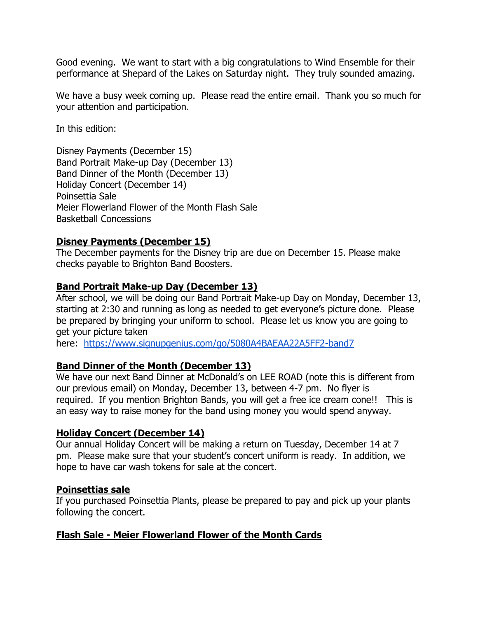Good evening. We want to start with a big congratulations to Wind Ensemble for their performance at Shepard of the Lakes on Saturday night. They truly sounded amazing.

We have a busy week coming up. Please read the entire email. Thank you so much for your attention and participation.

In this edition:

Disney Payments (December 15) Band Portrait Make-up Day (December 13) Band Dinner of the Month (December 13) Holiday Concert (December 14) Poinsettia Sale Meier Flowerland Flower of the Month Flash Sale Basketball Concessions

## **Disney Payments (December 15)**

The December payments for the Disney trip are due on December 15. Please make checks payable to Brighton Band Boosters.

# **Band Portrait Make-up Day (December 13)**

After school, we will be doing our Band Portrait Make-up Day on Monday, December 13, starting at 2:30 and running as long as needed to get everyone's picture done. Please be prepared by bringing your uniform to school. Please let us know you are going to get your picture taken

here: <https://www.signupgenius.com/go/5080A4BAEAA22A5FF2-band7>

## **Band Dinner of the Month (December 13)**

We have our next Band Dinner at McDonald's on LEE ROAD (note this is different from our previous email) on Monday, December 13, between 4-7 pm. No flyer is required. If you mention Brighton Bands, you will get a free ice cream cone!! This is an easy way to raise money for the band using money you would spend anyway.

## **Holiday Concert (December 14)**

Our annual Holiday Concert will be making a return on Tuesday, December 14 at 7 pm. Please make sure that your student's concert uniform is ready. In addition, we hope to have car wash tokens for sale at the concert.

### **Poinsettias sale**

If you purchased Poinsettia Plants, please be prepared to pay and pick up your plants following the concert.

## **Flash Sale - Meier Flowerland Flower of the Month Cards**